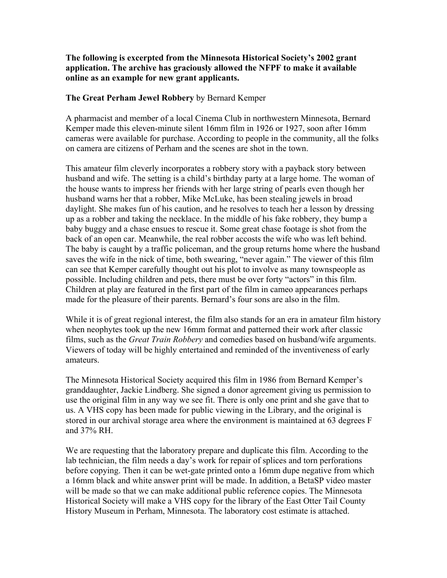**The following is excerpted from the Minnesota Historical Society's 2002 grant application. The archive has graciously allowed the NFPF to make it available online as an example for new grant applicants.** 

## **The Great Perham Jewel Robbery** by Bernard Kemper

A pharmacist and member of a local Cinema Club in northwestern Minnesota, Bernard Kemper made this eleven-minute silent 16mm film in 1926 or 1927, soon after 16mm cameras were available for purchase. According to people in the community, all the folks on camera are citizens of Perham and the scenes are shot in the town.

This amateur film cleverly incorporates a robbery story with a payback story between husband and wife. The setting is a child's birthday party at a large home. The woman of the house wants to impress her friends with her large string of pearls even though her husband warns her that a robber, Mike McLuke, has been stealing jewels in broad daylight. She makes fun of his caution, and he resolves to teach her a lesson by dressing up as a robber and taking the necklace. In the middle of his fake robbery, they bump a baby buggy and a chase ensues to rescue it. Some great chase footage is shot from the back of an open car. Meanwhile, the real robber accosts the wife who was left behind. The baby is caught by a traffic policeman, and the group returns home where the husband saves the wife in the nick of time, both swearing, "never again." The viewer of this film can see that Kemper carefully thought out his plot to involve as many townspeople as possible. Including children and pets, there must be over forty "actors" in this film. Children at play are featured in the first part of the film in cameo appearances perhaps made for the pleasure of their parents. Bernard's four sons are also in the film.

While it is of great regional interest, the film also stands for an era in amateur film history when neophytes took up the new 16mm format and patterned their work after classic films, such as the *Great Train Robbery* and comedies based on husband/wife arguments. Viewers of today will be highly entertained and reminded of the inventiveness of early amateurs.

The Minnesota Historical Society acquired this film in 1986 from Bernard Kemper's granddaughter, Jackie Lindberg. She signed a donor agreement giving us permission to use the original film in any way we see fit. There is only one print and she gave that to us. A VHS copy has been made for public viewing in the Library, and the original is stored in our archival storage area where the environment is maintained at 63 degrees F and 37% RH.

We are requesting that the laboratory prepare and duplicate this film. According to the lab technician, the film needs a day's work for repair of splices and torn perforations before copying. Then it can be wet-gate printed onto a 16mm dupe negative from which a 16mm black and white answer print will be made. In addition, a BetaSP video master will be made so that we can make additional public reference copies. The Minnesota Historical Society will make a VHS copy for the library of the East Otter Tail County History Museum in Perham, Minnesota. The laboratory cost estimate is attached.